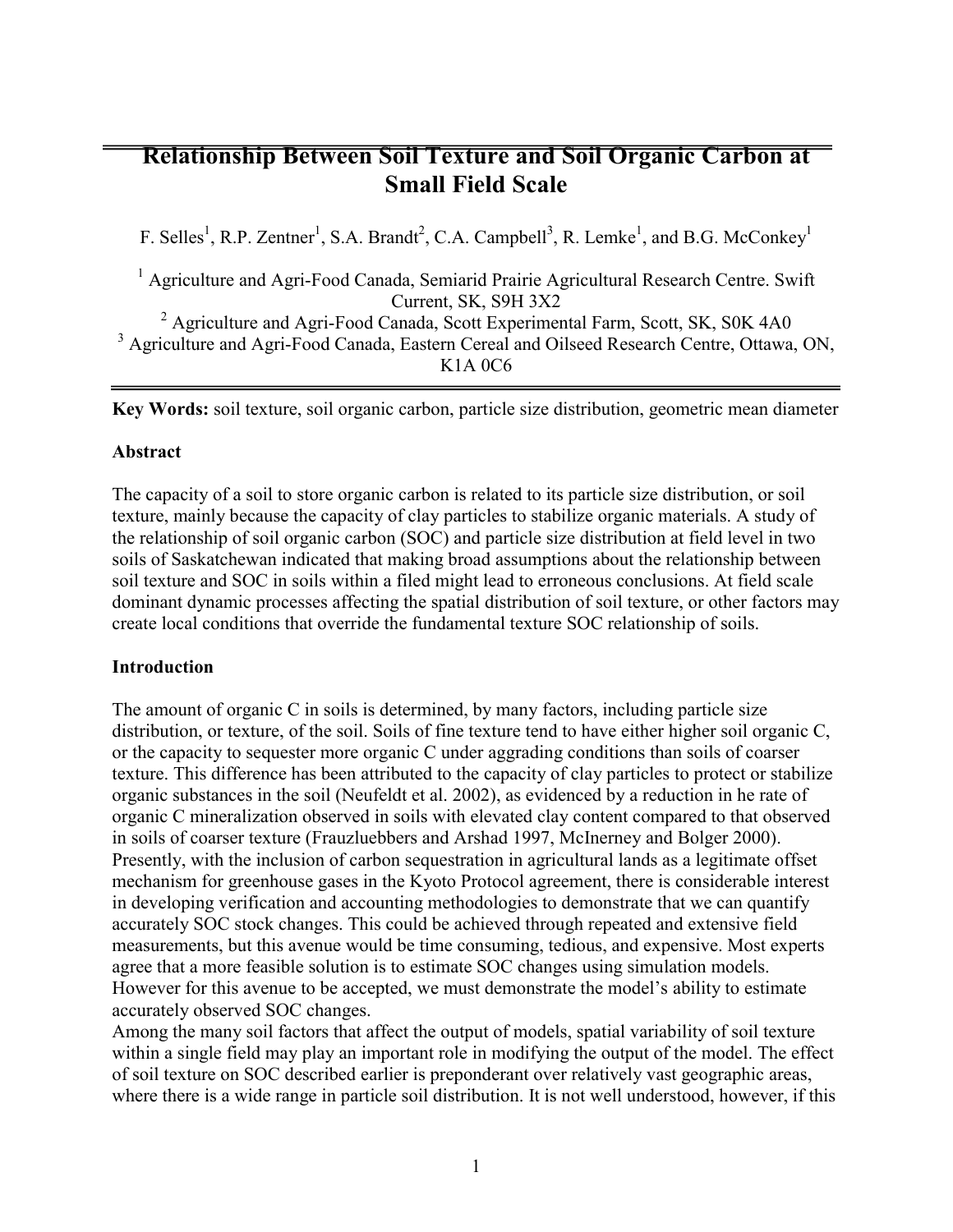# **Relationship Between Soil Texture and Soil Organic Carbon at Small Field Scale**

F. Selles<sup>1</sup>, R.P. Zentner<sup>1</sup>, S.A. Brandt<sup>2</sup>, C.A. Campbell<sup>3</sup>, R. Lemke<sup>1</sup>, and B.G. McConkey<sup>1</sup>

<sup>1</sup> Agriculture and Agri-Food Canada, Semiarid Prairie Agricultural Research Centre. Swift Current, SK, S9H 3X2

<sup>2</sup> Agriculture and Agri-Food Canada, Scott Experimental Farm, Scott, SK, S0K 4A0 <sup>3</sup> Agriculture and Agri-Food Canada, Eastern Cereal and Oilseed Research Centre, Ottawa, ON, K1A 0C6

**Key Words:** soil texture, soil organic carbon, particle size distribution, geometric mean diameter

## **Abstract**

The capacity of a soil to store organic carbon is related to its particle size distribution, or soil texture, mainly because the capacity of clay particles to stabilize organic materials. A study of the relationship of soil organic carbon (SOC) and particle size distribution at field level in two soils of Saskatchewan indicated that making broad assumptions about the relationship between soil texture and SOC in soils within a filed might lead to erroneous conclusions. At field scale dominant dynamic processes affecting the spatial distribution of soil texture, or other factors may create local conditions that override the fundamental texture SOC relationship of soils.

## **Introduction**

The amount of organic C in soils is determined, by many factors, including particle size distribution, or texture, of the soil. Soils of fine texture tend to have either higher soil organic C, or the capacity to sequester more organic C under aggrading conditions than soils of coarser texture. This difference has been attributed to the capacity of clay particles to protect or stabilize organic substances in the soil (Neufeldt et al. 2002), as evidenced by a reduction in he rate of organic C mineralization observed in soils with elevated clay content compared to that observed in soils of coarser texture (Frauzluebbers and Arshad 1997, McInerney and Bolger 2000). Presently, with the inclusion of carbon sequestration in agricultural lands as a legitimate offset mechanism for greenhouse gases in the Kyoto Protocol agreement, there is considerable interest in developing verification and accounting methodologies to demonstrate that we can quantify accurately SOC stock changes. This could be achieved through repeated and extensive field measurements, but this avenue would be time consuming, tedious, and expensive. Most experts agree that a more feasible solution is to estimate SOC changes using simulation models. However for this avenue to be accepted, we must demonstrate the model's ability to estimate accurately observed SOC changes.

Among the many soil factors that affect the output of models, spatial variability of soil texture within a single field may play an important role in modifying the output of the model. The effect of soil texture on SOC described earlier is preponderant over relatively vast geographic areas, where there is a wide range in particle soil distribution. It is not well understood, however, if this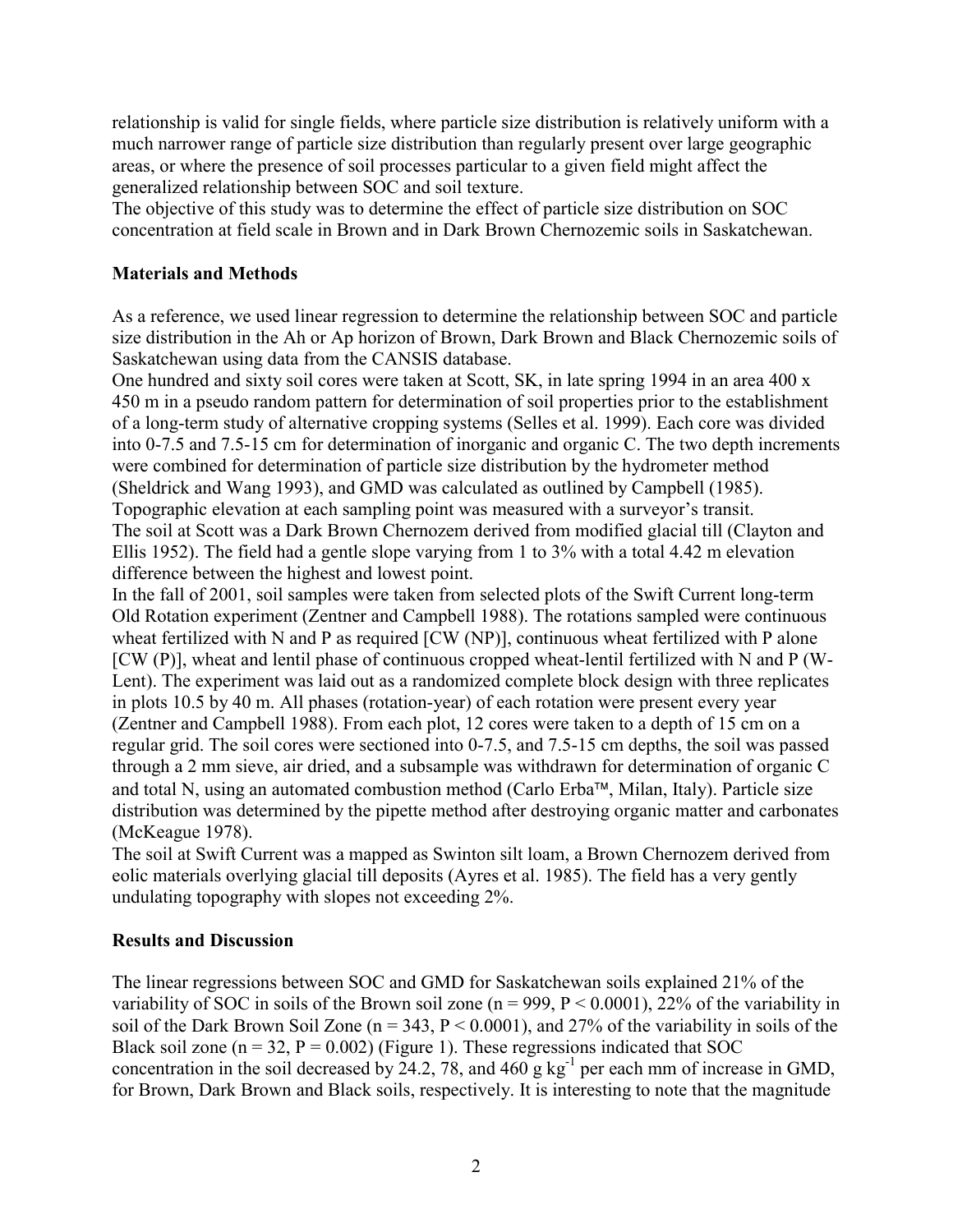relationship is valid for single fields, where particle size distribution is relatively uniform with a much narrower range of particle size distribution than regularly present over large geographic areas, or where the presence of soil processes particular to a given field might affect the generalized relationship between SOC and soil texture.

The objective of this study was to determine the effect of particle size distribution on SOC concentration at field scale in Brown and in Dark Brown Chernozemic soils in Saskatchewan.

# **Materials and Methods**

As a reference, we used linear regression to determine the relationship between SOC and particle size distribution in the Ah or Ap horizon of Brown, Dark Brown and Black Chernozemic soils of Saskatchewan using data from the CANSIS database.

One hundred and sixty soil cores were taken at Scott, SK, in late spring 1994 in an area 400 x 450 m in a pseudo random pattern for determination of soil properties prior to the establishment of a long-term study of alternative cropping systems (Selles et al. 1999). Each core was divided into 0-7.5 and 7.5-15 cm for determination of inorganic and organic C. The two depth increments were combined for determination of particle size distribution by the hydrometer method (Sheldrick and Wang 1993), and GMD was calculated as outlined by Campbell (1985). Topographic elevation at each sampling point was measured with a surveyor's transit. The soil at Scott was a Dark Brown Chernozem derived from modified glacial till (Clayton and Ellis 1952). The field had a gentle slope varying from 1 to 3% with a total 4.42 m elevation difference between the highest and lowest point.

In the fall of 2001, soil samples were taken from selected plots of the Swift Current long-term Old Rotation experiment (Zentner and Campbell 1988). The rotations sampled were continuous wheat fertilized with N and P as required [CW (NP)], continuous wheat fertilized with P alone [CW (P)], wheat and lentil phase of continuous cropped wheat-lentil fertilized with N and P (W-Lent). The experiment was laid out as a randomized complete block design with three replicates in plots 10.5 by 40 m. All phases (rotation-year) of each rotation were present every year (Zentner and Campbell 1988). From each plot, 12 cores were taken to a depth of 15 cm on a regular grid. The soil cores were sectioned into 0-7.5, and 7.5-15 cm depths, the soil was passed through a 2 mm sieve, air dried, and a subsample was withdrawn for determination of organic C and total N, using an automated combustion method (Carlo Erba<sup> $\mathsf{TM}$ </sup>, Milan, Italy). Particle size distribution was determined by the pipette method after destroying organic matter and carbonates (McKeague 1978).

The soil at Swift Current was a mapped as Swinton silt loam, a Brown Chernozem derived from eolic materials overlying glacial till deposits (Ayres et al. 1985). The field has a very gently undulating topography with slopes not exceeding 2%.

## **Results and Discussion**

The linear regressions between SOC and GMD for Saskatchewan soils explained 21% of the variability of SOC in soils of the Brown soil zone ( $n = 999$ ,  $P < 0.0001$ ), 22% of the variability in soil of the Dark Brown Soil Zone ( $n = 343$ ,  $P < 0.0001$ ), and 27% of the variability in soils of the Black soil zone ( $n = 32$ ,  $P = 0.002$ ) (Figure 1). These regressions indicated that SOC concentration in the soil decreased by 24.2, 78, and 460 g kg<sup>-1</sup> per each mm of increase in GMD, for Brown, Dark Brown and Black soils, respectively. It is interesting to note that the magnitude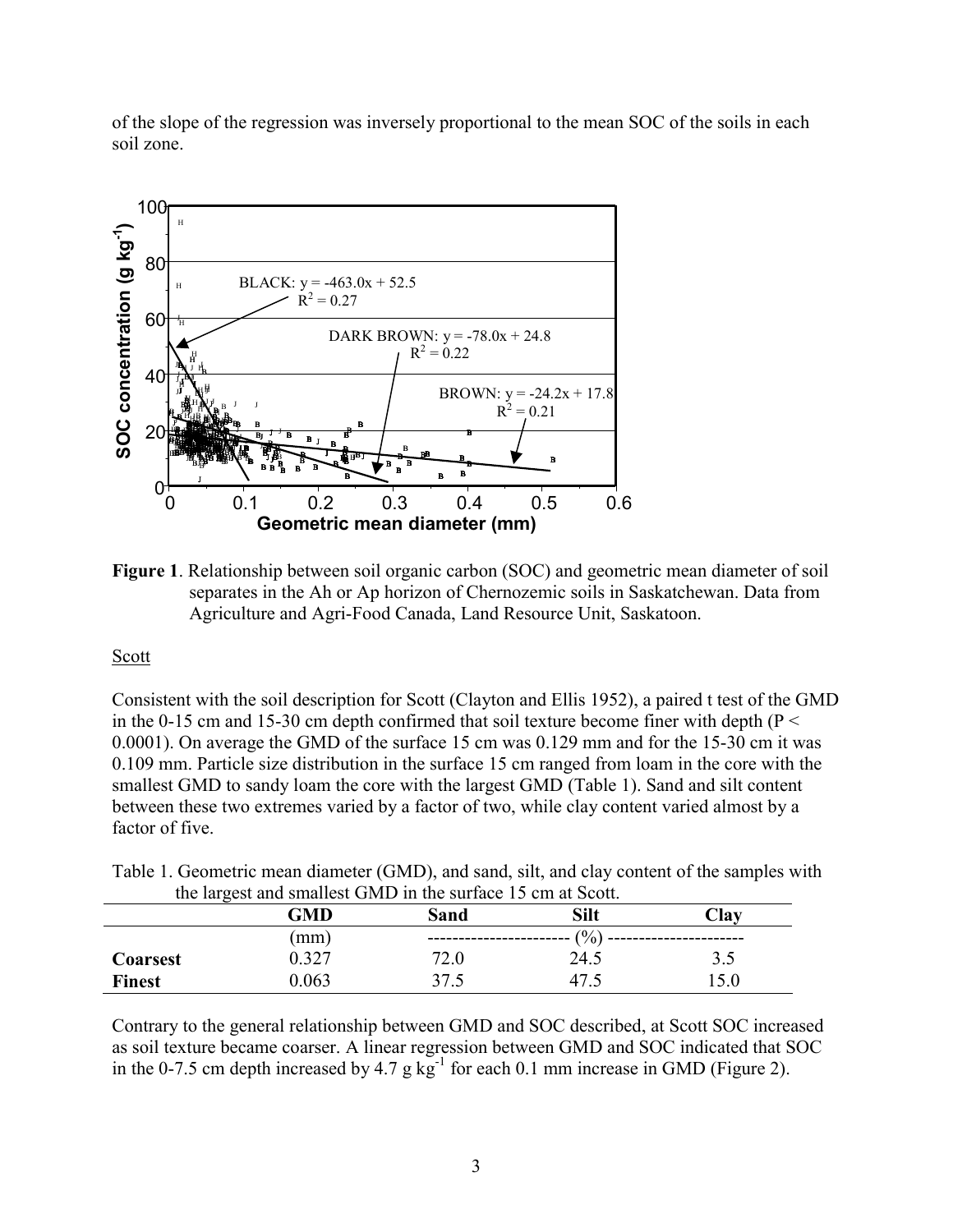of the slope of the regression was inversely proportional to the mean SOC of the soils in each soil zone.



**Figure 1**. Relationship between soil organic carbon (SOC) and geometric mean diameter of soil separates in the Ah or Ap horizon of Chernozemic soils in Saskatchewan. Data from Agriculture and Agri-Food Canada, Land Resource Unit, Saskatoon.

## **Scott**

Consistent with the soil description for Scott (Clayton and Ellis 1952), a paired t test of the GMD in the 0-15 cm and 15-30 cm depth confirmed that soil texture become finer with depth ( $P <$ 0.0001). On average the GMD of the surface 15 cm was 0.129 mm and for the 15-30 cm it was 0.109 mm. Particle size distribution in the surface 15 cm ranged from loam in the core with the smallest GMD to sandy loam the core with the largest GMD (Table 1). Sand and silt content between these two extremes varied by a factor of two, while clay content varied almost by a factor of five.

| the largest and smallest GMD in the surface 15 cm at Scott. |       |      |      |      |  |
|-------------------------------------------------------------|-------|------|------|------|--|
|                                                             | GMD   | Sand | Silt | Clav |  |
|                                                             | (mm)  |      | (%)  |      |  |
| <b>Coarsest</b>                                             | 0.327 | 72.0 | 24.5 | 35   |  |
| <b>Finest</b>                                               | 0.063 | 37.5 |      | 5 Q  |  |

|  | Table 1. Geometric mean diameter (GMD), and sand, silt, and clay content of the samples with |  |  |
|--|----------------------------------------------------------------------------------------------|--|--|
|  | the largest and smallest GMD in the surface 15 cm at Scott.                                  |  |  |

Contrary to the general relationship between GMD and SOC described, at Scott SOC increased as soil texture became coarser. A linear regression between GMD and SOC indicated that SOC in the 0-7.5 cm depth increased by 4.7 g  $kg^{-1}$  for each 0.1 mm increase in GMD (Figure 2).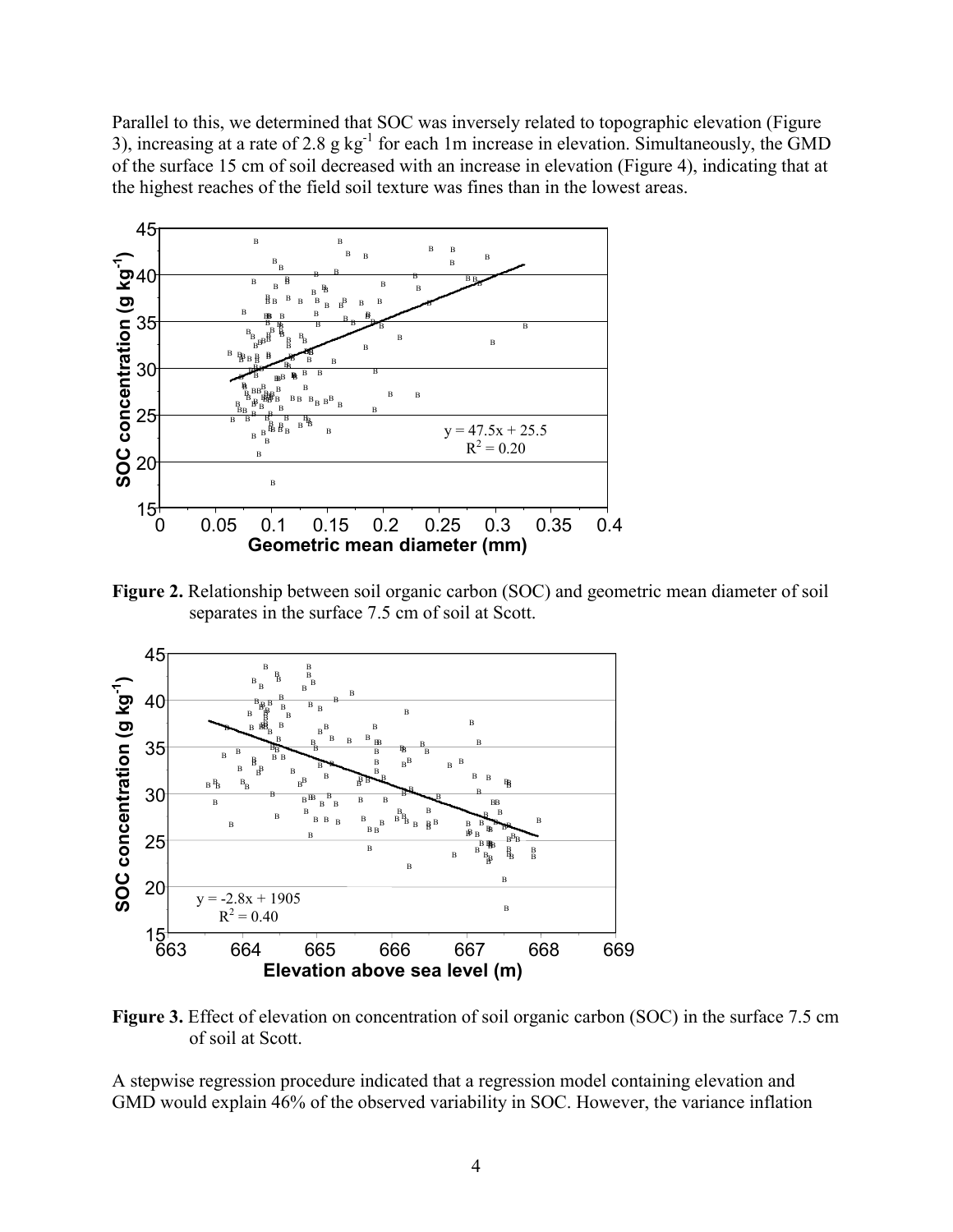Parallel to this, we determined that SOC was inversely related to topographic elevation (Figure 3), increasing at a rate of 2.8 g kg<sup>-1</sup> for each 1m increase in elevation. Simultaneously, the GMD of the surface 15 cm of soil decreased with an increase in elevation (Figure 4), indicating that at the highest reaches of the field soil texture was fines than in the lowest areas.



**Figure 2.** Relationship between soil organic carbon (SOC) and geometric mean diameter of soil separates in the surface 7.5 cm of soil at Scott.



**Figure 3.** Effect of elevation on concentration of soil organic carbon (SOC) in the surface 7.5 cm of soil at Scott.

A stepwise regression procedure indicated that a regression model containing elevation and GMD would explain 46% of the observed variability in SOC. However, the variance inflation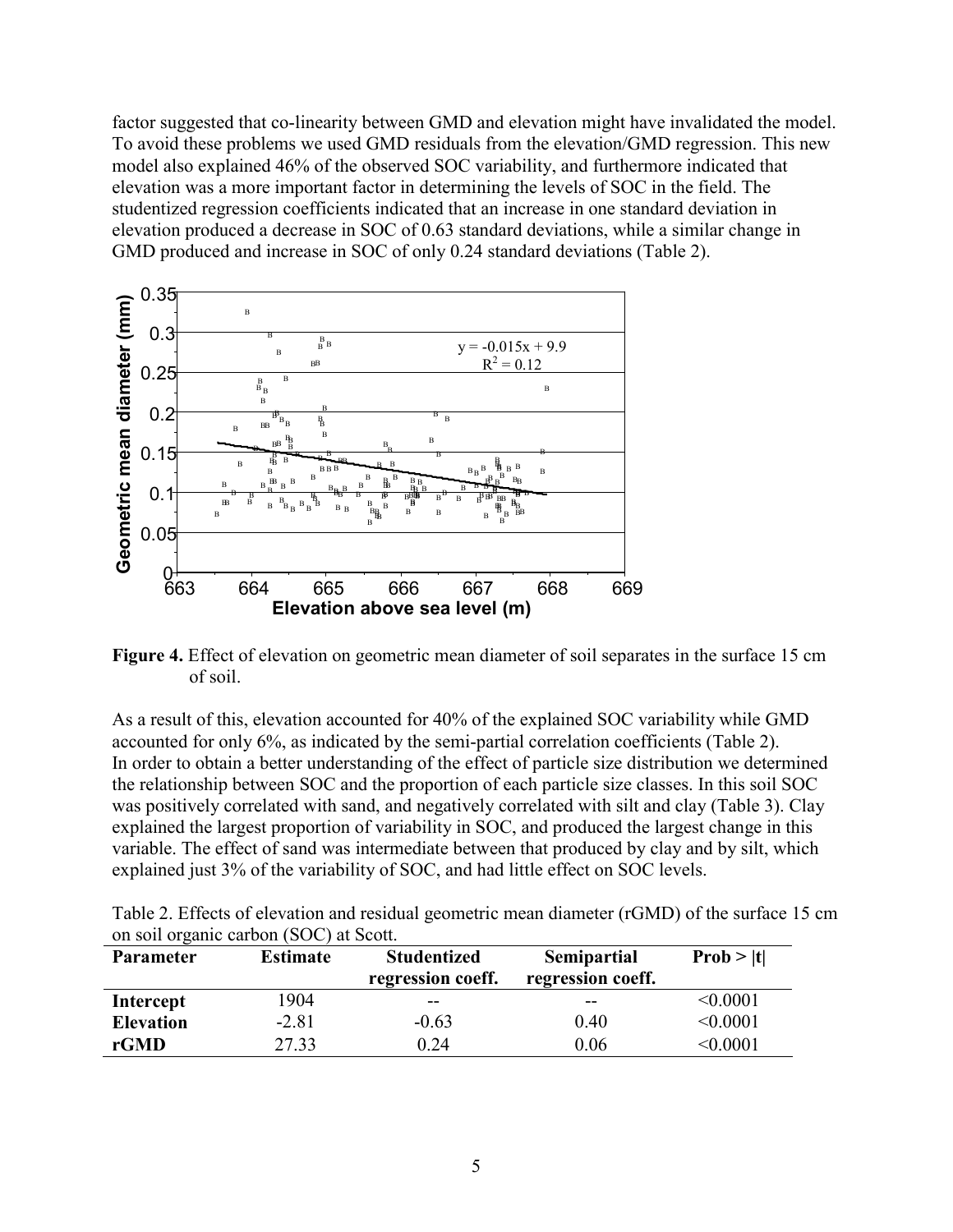factor suggested that co-linearity between GMD and elevation might have invalidated the model. To avoid these problems we used GMD residuals from the elevation/GMD regression. This new model also explained 46% of the observed SOC variability, and furthermore indicated that elevation was a more important factor in determining the levels of SOC in the field. The studentized regression coefficients indicated that an increase in one standard deviation in elevation produced a decrease in SOC of 0.63 standard deviations, while a similar change in GMD produced and increase in SOC of only 0.24 standard deviations (Table 2).



**Figure 4.** Effect of elevation on geometric mean diameter of soil separates in the surface 15 cm of soil.

As a result of this, elevation accounted for 40% of the explained SOC variability while GMD accounted for only 6%, as indicated by the semi-partial correlation coefficients (Table 2). In order to obtain a better understanding of the effect of particle size distribution we determined the relationship between SOC and the proportion of each particle size classes. In this soil SOC was positively correlated with sand, and negatively correlated with silt and clay (Table 3). Clay explained the largest proportion of variability in SOC, and produced the largest change in this variable. The effect of sand was intermediate between that produced by clay and by silt, which explained just 3% of the variability of SOC, and had little effect on SOC levels.

| Table 2. Effects of elevation and residual geometric mean diameter (rGMD) of the surface 15 cm |  |  |
|------------------------------------------------------------------------------------------------|--|--|
| on soil organic carbon (SOC) at Scott.                                                         |  |  |

| <b>Parameter</b> | <b>Estimate</b> | <b>Studentized</b><br>regression coeff. | Semipartial<br>regression coeff. | Prob >  t       |
|------------------|-----------------|-----------------------------------------|----------------------------------|-----------------|
| Intercept        | 1904            | --                                      | --                               | < 0.0001        |
| <b>Elevation</b> | $-2.81$         | $-0.63$                                 | 0.40                             | < 0.0001        |
| rGMD             | 27.33           | 0.24                                    | 0.06                             | $<$ 0.0001 $\,$ |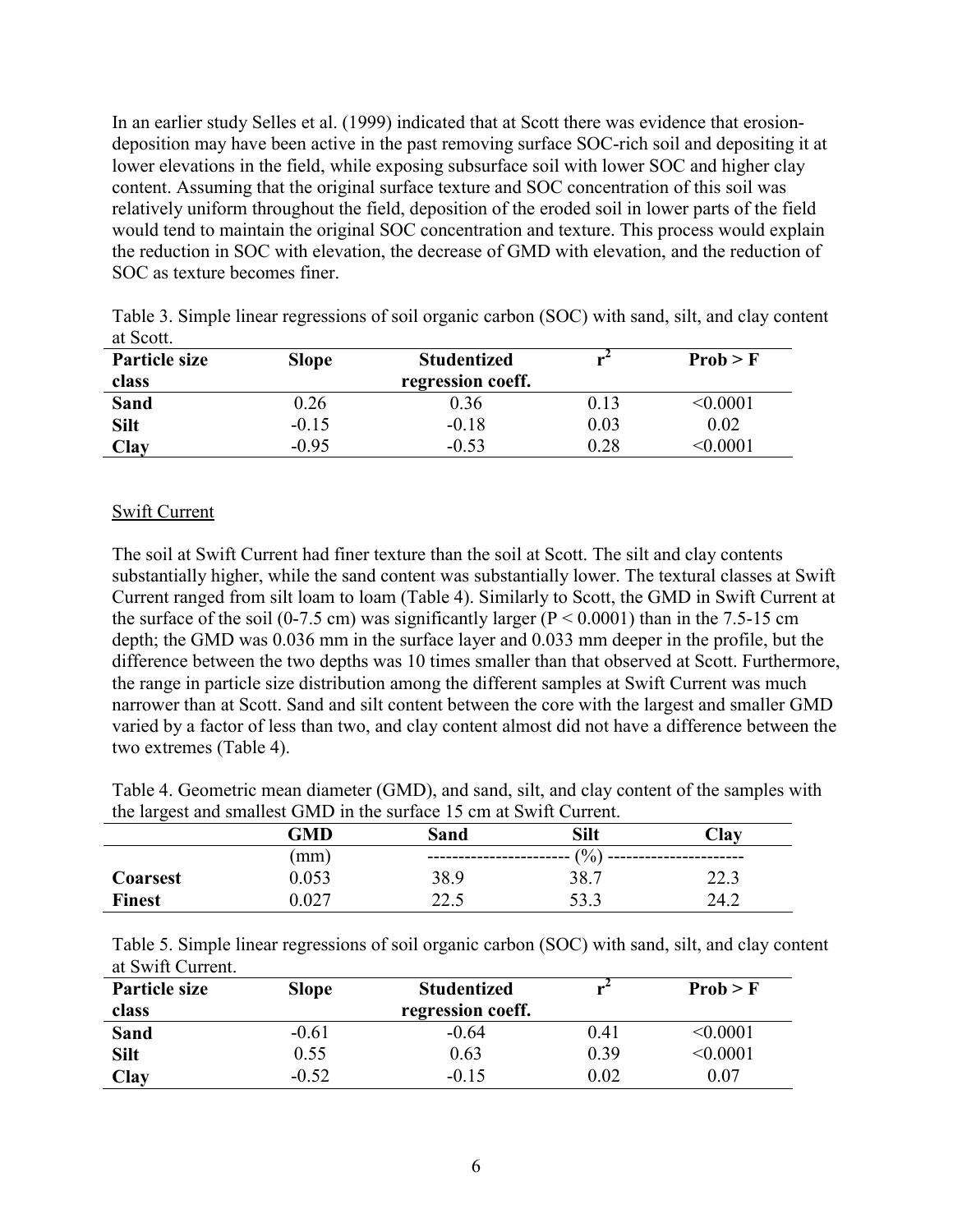In an earlier study Selles et al. (1999) indicated that at Scott there was evidence that erosiondeposition may have been active in the past removing surface SOC-rich soil and depositing it at lower elevations in the field, while exposing subsurface soil with lower SOC and higher clay content. Assuming that the original surface texture and SOC concentration of this soil was relatively uniform throughout the field, deposition of the eroded soil in lower parts of the field would tend to maintain the original SOC concentration and texture. This process would explain the reduction in SOC with elevation, the decrease of GMD with elevation, and the reduction of SOC as texture becomes finer.

| ut DOULL             |              |                    |      |                 |  |
|----------------------|--------------|--------------------|------|-----------------|--|
| <b>Particle size</b> | <b>Slope</b> | <b>Studentized</b> |      | Prob > F        |  |
| class                |              | regression coeff.  |      |                 |  |
| <b>Sand</b>          | 0.26         | 0.36               | 0.13 | $<$ 0.0001 $\,$ |  |
| <b>Silt</b>          | $-0.15$      | $-0.18$            | 0.03 | 0.02            |  |
| <b>Clay</b>          | $-0.95$      | $-0.53$            | 0.28 | < 0.0001        |  |

Table 3. Simple linear regressions of soil organic carbon (SOC) with sand, silt, and clay content at Scott.

#### Swift Current

The soil at Swift Current had finer texture than the soil at Scott. The silt and clay contents substantially higher, while the sand content was substantially lower. The textural classes at Swift Current ranged from silt loam to loam (Table 4). Similarly to Scott, the GMD in Swift Current at the surface of the soil (0-7.5 cm) was significantly larger ( $P < 0.0001$ ) than in the 7.5-15 cm depth; the GMD was 0.036 mm in the surface layer and 0.033 mm deeper in the profile, but the difference between the two depths was 10 times smaller than that observed at Scott. Furthermore, the range in particle size distribution among the different samples at Swift Current was much narrower than at Scott. Sand and silt content between the core with the largest and smaller GMD varied by a factor of less than two, and clay content almost did not have a difference between the two extremes (Table 4).

Table 4. Geometric mean diameter (GMD), and sand, silt, and clay content of the samples with the largest and smallest GMD in the surface 15 cm at Swift Current.

|                 | GMD   | Sand | Silt    | $\mathbf{L}$ lay |  |  |
|-----------------|-------|------|---------|------------------|--|--|
|                 | (mm)  |      | $(\% )$ |                  |  |  |
| <b>Coarsest</b> | 0.053 | 38.9 | 38.7    | 22.3             |  |  |
| <b>Finest</b>   | 0.027 | 22.5 | 53.3    | 24.2             |  |  |

| Table 5. Simple linear regressions of soil organic carbon (SOC) with sand, silt, and clay content |  |  |  |
|---------------------------------------------------------------------------------------------------|--|--|--|
| at Swift Current.                                                                                 |  |  |  |

| Particle size | <b>Slope</b> | <b>Studentized</b> |          | Prob > F        |
|---------------|--------------|--------------------|----------|-----------------|
| class         |              | regression coeff.  |          |                 |
| <b>Sand</b>   | $-0.61$      | $-0.64$            | 0.41     | $<\!\!0.0001$   |
| <b>Silt</b>   | 0.55         | 0.63               | 0.39     | $<$ 0.0001 $\,$ |
| <b>Clay</b>   | $-0.52$      | $-0.15$            | $0.02\,$ | 0.07            |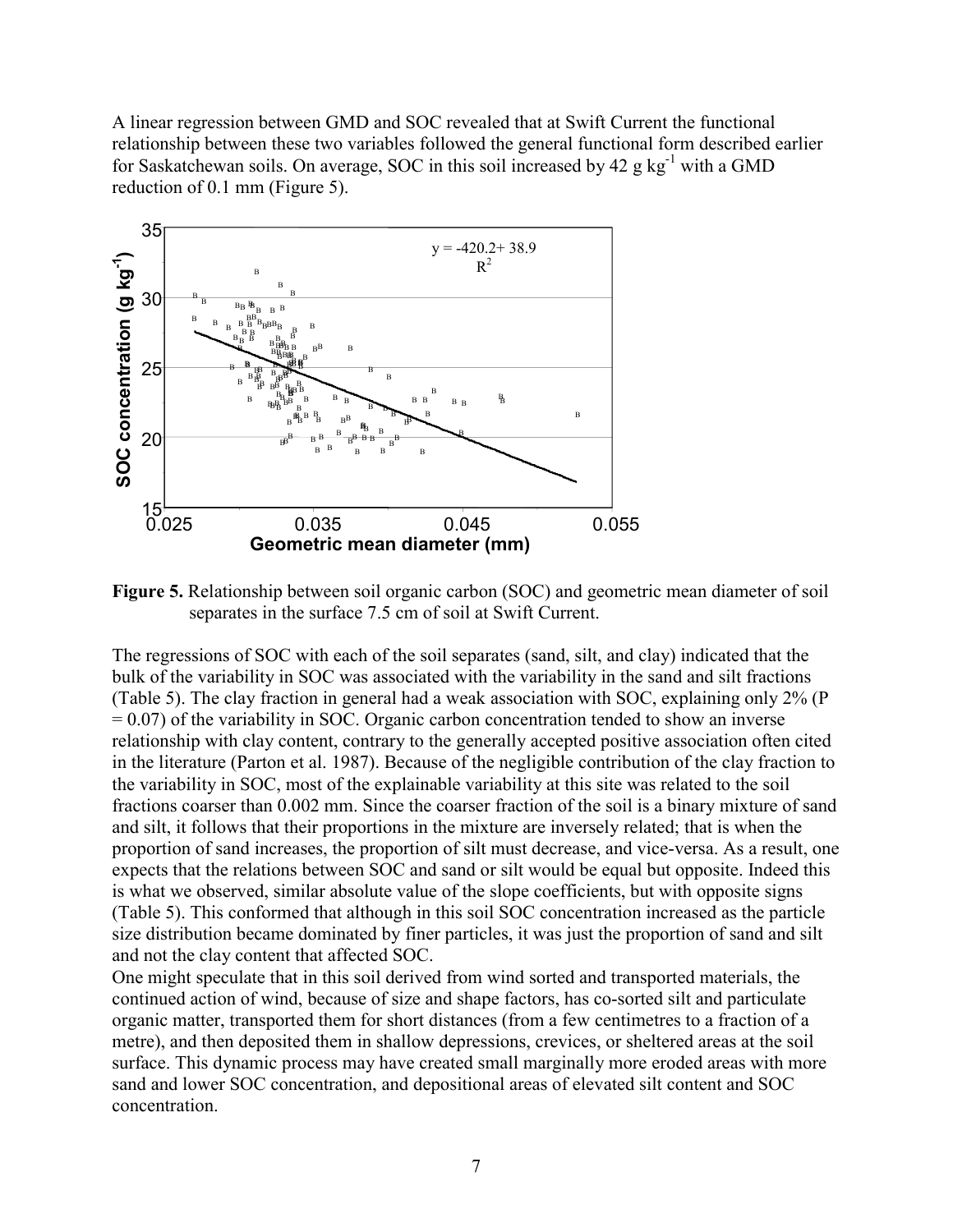A linear regression between GMD and SOC revealed that at Swift Current the functional relationship between these two variables followed the general functional form described earlier for Saskatchewan soils. On average, SOC in this soil increased by  $42 \text{ g kg}^{-1}$  with a GMD reduction of 0.1 mm (Figure 5).



**Figure 5.** Relationship between soil organic carbon (SOC) and geometric mean diameter of soil separates in the surface 7.5 cm of soil at Swift Current.

The regressions of SOC with each of the soil separates (sand, silt, and clay) indicated that the bulk of the variability in SOC was associated with the variability in the sand and silt fractions (Table 5). The clay fraction in general had a weak association with SOC, explaining only 2% (P  $= 0.07$ ) of the variability in SOC. Organic carbon concentration tended to show an inverse relationship with clay content, contrary to the generally accepted positive association often cited in the literature (Parton et al. 1987). Because of the negligible contribution of the clay fraction to the variability in SOC, most of the explainable variability at this site was related to the soil fractions coarser than 0.002 mm. Since the coarser fraction of the soil is a binary mixture of sand and silt, it follows that their proportions in the mixture are inversely related; that is when the proportion of sand increases, the proportion of silt must decrease, and vice-versa. As a result, one expects that the relations between SOC and sand or silt would be equal but opposite. Indeed this is what we observed, similar absolute value of the slope coefficients, but with opposite signs (Table 5). This conformed that although in this soil SOC concentration increased as the particle size distribution became dominated by finer particles, it was just the proportion of sand and silt and not the clay content that affected SOC.

One might speculate that in this soil derived from wind sorted and transported materials, the continued action of wind, because of size and shape factors, has co-sorted silt and particulate organic matter, transported them for short distances (from a few centimetres to a fraction of a metre), and then deposited them in shallow depressions, crevices, or sheltered areas at the soil surface. This dynamic process may have created small marginally more eroded areas with more sand and lower SOC concentration, and depositional areas of elevated silt content and SOC concentration.